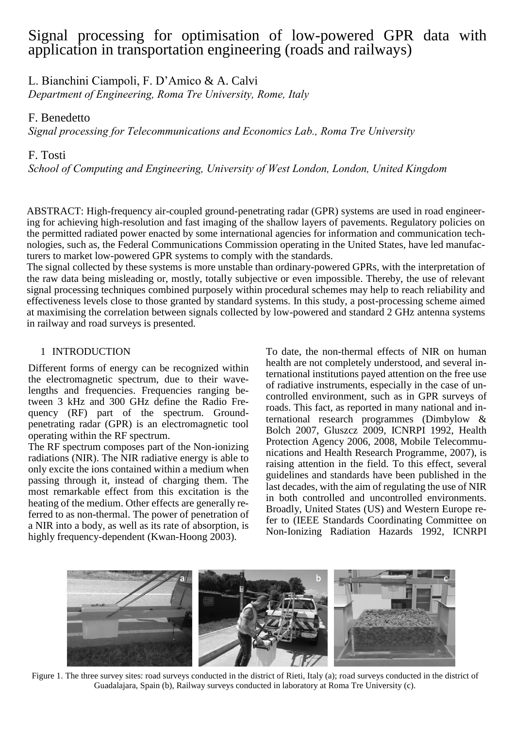# Signal processing for optimisation of low-powered GPR data with application in transportation engineering (roads and railways)

L. Bianchini Ciampoli, F. D'Amico & A. Calvi

*Department of Engineering, Roma Tre University, Rome, Italy*

# F. Benedetto

*Signal processing for Telecommunications and Economics Lab., Roma Tre University* 

# F. Tosti

*School of Computing and Engineering, University of West London, London, United Kingdom*

ABSTRACT: High-frequency air-coupled ground-penetrating radar (GPR) systems are used in road engineering for achieving high-resolution and fast imaging of the shallow layers of pavements. Regulatory policies on the permitted radiated power enacted by some international agencies for information and communication technologies, such as, the Federal Communications Commission operating in the United States, have led manufacturers to market low-powered GPR systems to comply with the standards.

The signal collected by these systems is more unstable than ordinary-powered GPRs, with the interpretation of the raw data being misleading or, mostly, totally subjective or even impossible. Thereby, the use of relevant signal processing techniques combined purposely within procedural schemes may help to reach reliability and effectiveness levels close to those granted by standard systems. In this study, a post-processing scheme aimed at maximising the correlation between signals collected by low-powered and standard 2 GHz antenna systems in railway and road surveys is presented.

# 1 INTRODUCTION

Different forms of energy can be recognized within the electromagnetic spectrum, due to their wavelengths and frequencies. Frequencies ranging between 3 kHz and 300 GHz define the Radio Frequency (RF) part of the spectrum. Groundpenetrating radar (GPR) is an electromagnetic tool operating within the RF spectrum.

The RF spectrum composes part of the Non-ionizing radiations (NIR). The NIR radiative energy is able to only excite the ions contained within a medium when passing through it, instead of charging them. The most remarkable effect from this excitation is the heating of the medium. Other effects are generally referred to as non-thermal. The power of penetration of a NIR into a body, as well as its rate of absorption, is highly frequency-dependent (Kwan-Hoong 2003).

To date, the non-thermal effects of NIR on human health are not completely understood, and several international institutions payed attention on the free use of radiative instruments, especially in the case of uncontrolled environment, such as in GPR surveys of roads. This fact, as reported in many national and international research programmes (Dimbylow & Bolch 2007, Gluszcz 2009, ICNRPI 1992, Health Protection Agency 2006, 2008, Mobile Telecommunications and Health Research Programme, 2007), is raising attention in the field. To this effect, several guidelines and standards have been published in the last decades, with the aim of regulating the use of NIR in both controlled and uncontrolled environments. Broadly, United States (US) and Western Europe refer to (IEEE Standards Coordinating Committee on Non-Ionizing Radiation Hazards 1992, ICNRPI



Figure 1. The three survey sites: road surveys conducted in the district of Rieti, Italy (a); road surveys conducted in the district of Guadalajara, Spain (b), Railway surveys conducted in laboratory at Roma Tre University (c).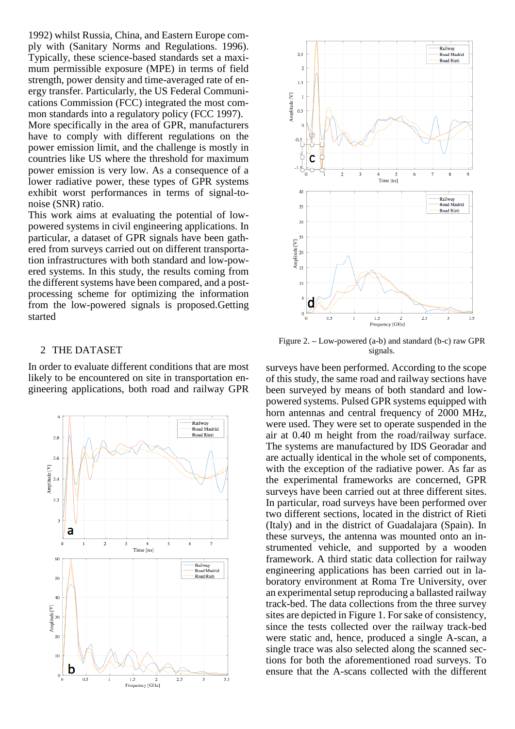1992) whilst Russia, China, and Eastern Europe comply with (Sanitary Norms and Regulations. 1996). Typically, these science-based standards set a maximum permissible exposure (MPE) in terms of field strength, power density and time-averaged rate of energy transfer. Particularly, the US Federal Communications Commission (FCC) integrated the most common standards into a regulatory policy (FCC 1997).

More specifically in the area of GPR, manufacturers have to comply with different regulations on the power emission limit, and the challenge is mostly in countries like US where the threshold for maximum power emission is very low. As a consequence of a lower radiative power, these types of GPR systems exhibit worst performances in terms of signal-tonoise (SNR) ratio.

This work aims at evaluating the potential of lowpowered systems in civil engineering applications. In particular, a dataset of GPR signals have been gathered from surveys carried out on different transportation infrastructures with both standard and low-powered systems. In this study, the results coming from the different systems have been compared, and a postprocessing scheme for optimizing the information from the low-powered signals is proposed.Getting started

### 2 THE DATASET

In order to evaluate different conditions that are most likely to be encountered on site in transportation engineering applications, both road and railway GPR





Figure 2. *–* Low-powered (a-b) and standard (b-c) raw GPR signals.

surveys have been performed. According to the scope of this study, the same road and railway sections have been surveyed by means of both standard and lowpowered systems. Pulsed GPR systems equipped with horn antennas and central frequency of 2000 MHz, were used. They were set to operate suspended in the air at 0.40 m height from the road/railway surface. The systems are manufactured by IDS Georadar and are actually identical in the whole set of components, with the exception of the radiative power. As far as the experimental frameworks are concerned, GPR surveys have been carried out at three different sites. In particular, road surveys have been performed over two different sections, located in the district of Rieti (Italy) and in the district of Guadalajara (Spain). In these surveys, the antenna was mounted onto an instrumented vehicle, and supported by a wooden framework. A third static data collection for railway engineering applications has been carried out in laboratory environment at Roma Tre University, over an experimental setup reproducing a ballasted railway track-bed. The data collections from the three survey sites are depicted in Figure 1. For sake of consistency, since the tests collected over the railway track-bed were static and, hence, produced a single A-scan, a single trace was also selected along the scanned sections for both the aforementioned road surveys. To ensure that the A-scans collected with the different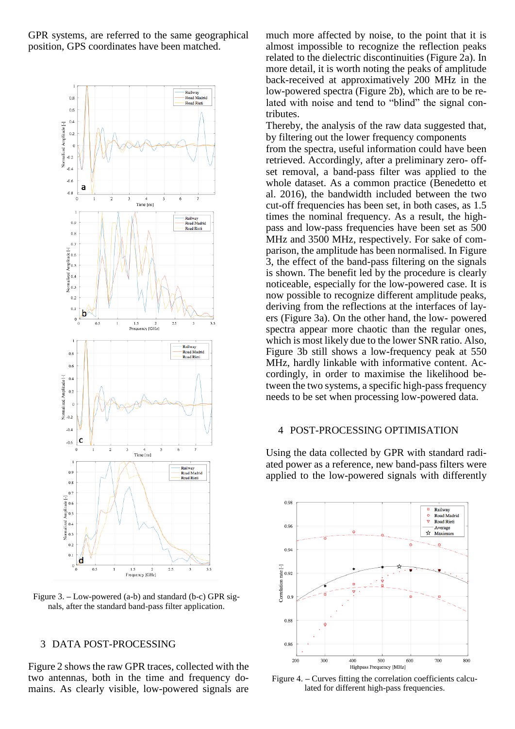GPR systems, are referred to the same geographical position, GPS coordinates have been matched.



Figure 3. *–* Low-powered (a-b) and standard (b-c) GPR signals, after the standard band-pass filter application.

### 3 DATA POST-PROCESSING

Figure 2 shows the raw GPR traces, collected with the two antennas, both in the time and frequency domains. As clearly visible, low-powered signals are much more affected by noise, to the point that it is almost impossible to recognize the reflection peaks related to the dielectric discontinuities (Figure 2a). In more detail, it is worth noting the peaks of amplitude back-received at approximatively 200 MHz in the low-powered spectra (Figure 2b), which are to be related with noise and tend to "blind" the signal contributes.

Thereby, the analysis of the raw data suggested that, by filtering out the lower frequency components from the spectra, useful information could have been

retrieved. Accordingly, after a preliminary zero- offset removal, a band-pass filter was applied to the whole dataset. As a common practice (Benedetto et al. 2016), the bandwidth included between the two cut-off frequencies has been set, in both cases, as 1.5 times the nominal frequency. As a result, the highpass and low-pass frequencies have been set as 500 MHz and 3500 MHz, respectively. For sake of comparison, the amplitude has been normalised. In Figure 3, the effect of the band-pass filtering on the signals is shown. The benefit led by the procedure is clearly noticeable, especially for the low-powered case. It is now possible to recognize different amplitude peaks, deriving from the reflections at the interfaces of layers (Figure 3a). On the other hand, the low- powered spectra appear more chaotic than the regular ones, which is most likely due to the lower SNR ratio. Also, Figure 3b still shows a low-frequency peak at 550 MHz, hardly linkable with informative content. Accordingly, in order to maximise the likelihood between the two systems, a specific high-pass frequency needs to be set when processing low-powered data.

#### 4 POST-PROCESSING OPTIMISATION

Using the data collected by GPR with standard radiated power as a reference, new band-pass filters were applied to the low-powered signals with differently



Figure 4. *–* Curves fitting the correlation coefficients calculated for different high-pass frequencies.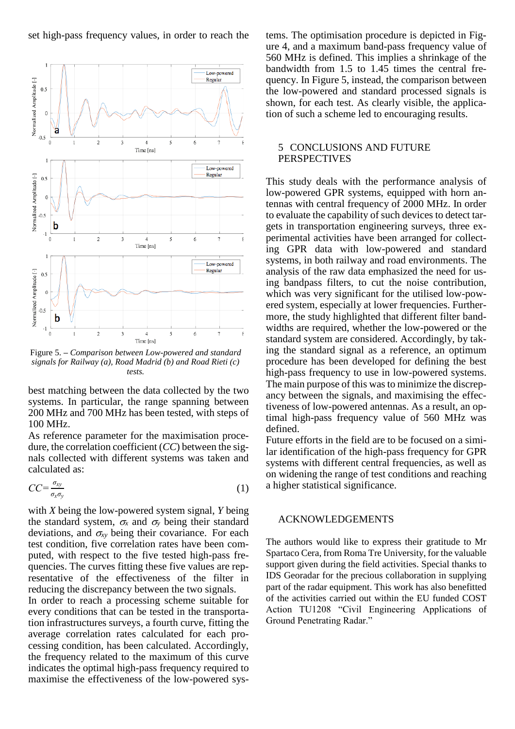set high-pass frequency values, in order to reach the



Figure 5. *– Comparison between Low-powered and standard signals for Railway (a), Road Madrid (b) and Road Rieti (c) tests.*

best matching between the data collected by the two systems. In particular, the range spanning between 200 MHz and 700 MHz has been tested, with steps of 100 MHz.

As reference parameter for the maximisation procedure, the correlation coefficient (*CC*) between the signals collected with different systems was taken and calculated as:

$$
CC = \frac{\sigma_{xy}}{\sigma_x \sigma_y} \tag{1}
$$

with *X* being the low-powered system signal, *Y* being the standard system,  $\sigma_x$  and  $\sigma_y$  being their standard deviations, and  $\sigma_{xy}$  being their covariance. For each test condition, five correlation rates have been computed, with respect to the five tested high-pass frequencies. The curves fitting these five values are representative of the effectiveness of the filter in reducing the discrepancy between the two signals.

In order to reach a processing scheme suitable for every conditions that can be tested in the transportation infrastructures surveys, a fourth curve, fitting the average correlation rates calculated for each processing condition, has been calculated. Accordingly, the frequency related to the maximum of this curve indicates the optimal high-pass frequency required to maximise the effectiveness of the low-powered sys-

tems. The optimisation procedure is depicted in Figure 4, and a maximum band-pass frequency value of 560 MHz is defined. This implies a shrinkage of the bandwidth from 1.5 to 1.45 times the central frequency. In Figure 5, instead, the comparison between the low-powered and standard processed signals is shown, for each test. As clearly visible, the application of such a scheme led to encouraging results.

#### 5 CONCLUSIONS AND FUTURE PERSPECTIVES

This study deals with the performance analysis of low-powered GPR systems, equipped with horn antennas with central frequency of 2000 MHz. In order to evaluate the capability of such devices to detect targets in transportation engineering surveys, three experimental activities have been arranged for collecting GPR data with low-powered and standard systems, in both railway and road environments. The analysis of the raw data emphasized the need for using bandpass filters, to cut the noise contribution, which was very significant for the utilised low-powered system, especially at lower frequencies. Furthermore, the study highlighted that different filter bandwidths are required, whether the low-powered or the standard system are considered. Accordingly, by taking the standard signal as a reference, an optimum procedure has been developed for defining the best high-pass frequency to use in low-powered systems. The main purpose of this was to minimize the discrepancy between the signals, and maximising the effectiveness of low-powered antennas. As a result, an optimal high-pass frequency value of 560 MHz was defined.

Future efforts in the field are to be focused on a similar identification of the high-pass frequency for GPR systems with different central frequencies, as well as on widening the range of test conditions and reaching a higher statistical significance.

### ACKNOWLEDGEMENTS

The authors would like to express their gratitude to Mr Spartaco Cera, from Roma Tre University, for the valuable support given during the field activities. Special thanks to IDS Georadar for the precious collaboration in supplying part of the radar equipment. This work has also benefitted of the activities carried out within the EU funded COST Action TU1208 "Civil Engineering Applications of Ground Penetrating Radar."